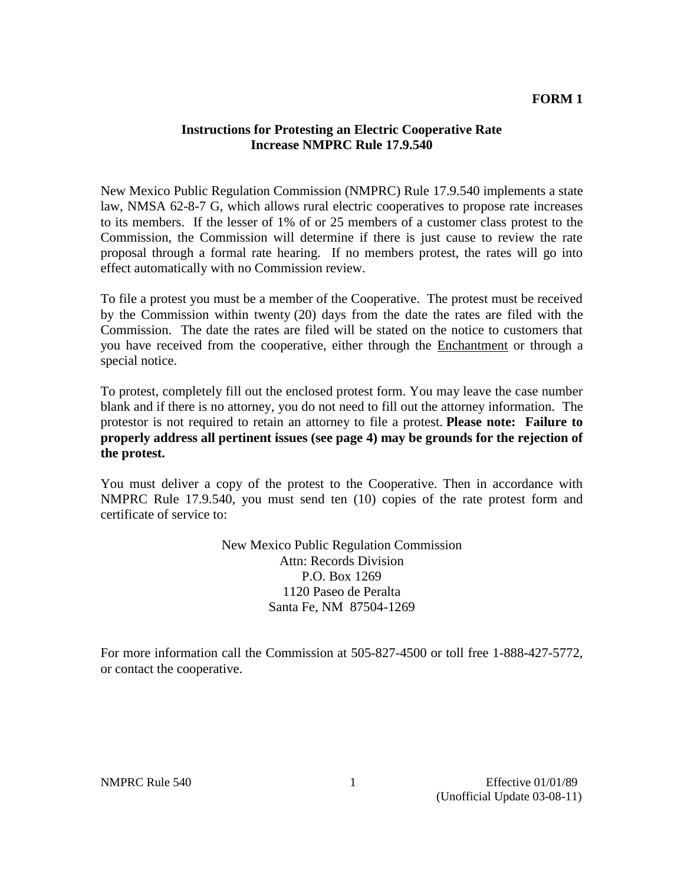#### **FORM 1**

#### **Instructions for Protesting an Electric Cooperative Rate Increase NMPRC Rule 17.9.540**

New Mexico Public Regulation Commission (NMPRC) Rule 17.9.540 implements a state law, NMSA 62-8-7 G, which allows rural electric cooperatives to propose rate increases to its members. If the lesser of 1% of or 25 members of a customer class protest to the Commission, the Commission will determine if there is just cause to review the rate proposal through a formal rate hearing. If no members protest, the rates will go into effect automatically with no Commission review.

To file a protest you must be a member of the Cooperative. The protest must be received by the Commission within twenty (20) days from the date the rates are filed with the Commission. The date the rates are filed will be stated on the notice to customers that you have received from the cooperative, either through the Enchantment or through a special notice.

To protest, completely fill out the enclosed protest form. You may leave the case number blank and if there is no attorney, you do not need to fill out the attorney information.The protestor is not required to retain an attorney to file a protest. **Please note: Failure to properly address all pertinent issues (see page 4) may be grounds for the rejection of the protest.**

You must deliver a copy of the protest to the Cooperative. Then in accordance with NMPRC Rule 17.9.540, you must send ten (10) copies of the rate protest form and certificate of service to:

> New Mexico Public Regulation Commission Attn: Records Division P.O. Box 1269 1120 Paseo de Peralta Santa Fe, NM 87504-1269

For more information call the Commission at 505-827-4500 or toll free 1-888-427-5772, or contact the cooperative.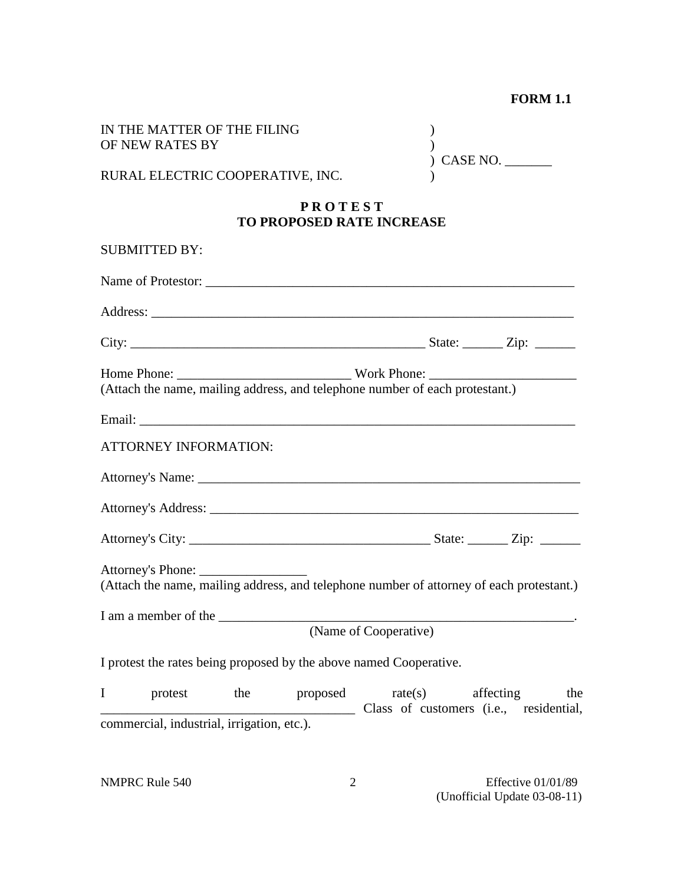## **FORM 1.1**

|   | IN THE MATTER OF THE FILING                                        |     |                                                    |                       |  |                                                                                          |
|---|--------------------------------------------------------------------|-----|----------------------------------------------------|-----------------------|--|------------------------------------------------------------------------------------------|
|   | OF NEW RATES BY                                                    |     |                                                    | CASE NO.              |  |                                                                                          |
|   | RURAL ELECTRIC COOPERATIVE, INC.                                   |     |                                                    |                       |  |                                                                                          |
|   |                                                                    |     | <b>PROTEST</b><br><b>TO PROPOSED RATE INCREASE</b> |                       |  |                                                                                          |
|   | <b>SUBMITTED BY:</b>                                               |     |                                                    |                       |  |                                                                                          |
|   |                                                                    |     |                                                    |                       |  |                                                                                          |
|   |                                                                    |     |                                                    |                       |  |                                                                                          |
|   |                                                                    |     |                                                    |                       |  |                                                                                          |
|   |                                                                    |     |                                                    |                       |  |                                                                                          |
|   |                                                                    |     |                                                    |                       |  |                                                                                          |
|   |                                                                    |     |                                                    |                       |  |                                                                                          |
|   | <b>ATTORNEY INFORMATION:</b>                                       |     |                                                    |                       |  |                                                                                          |
|   |                                                                    |     |                                                    |                       |  |                                                                                          |
|   |                                                                    |     |                                                    |                       |  |                                                                                          |
|   |                                                                    |     |                                                    |                       |  |                                                                                          |
|   |                                                                    |     |                                                    |                       |  | (Attach the name, mailing address, and telephone number of attorney of each protestant.) |
|   | I am a member of the                                               |     |                                                    |                       |  |                                                                                          |
|   |                                                                    |     |                                                    | (Name of Cooperative) |  |                                                                                          |
|   | I protest the rates being proposed by the above named Cooperative. |     |                                                    |                       |  |                                                                                          |
| I | protest                                                            | the | proposed                                           | rate(s)               |  | affecting<br>the<br>Class of customers (i.e., residential,                               |
|   | commercial, industrial, irrigation, etc.).                         |     |                                                    |                       |  |                                                                                          |
|   |                                                                    |     |                                                    |                       |  |                                                                                          |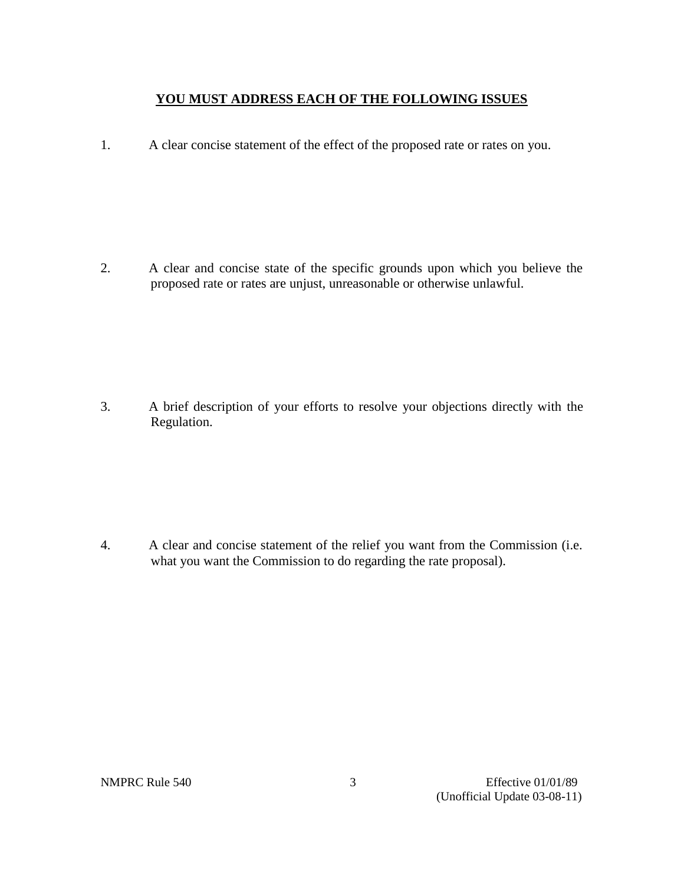### **YOU MUST ADDRESS EACH OF THE FOLLOWING ISSUES**

1. A clear concise statement of the effect of the proposed rate or rates on you.

2. A clear and concise state of the specific grounds upon which you believe the proposed rate or rates are unjust, unreasonable or otherwise unlawful.

3. A brief description of your efforts to resolve your objections directly with the Regulation.

4. A clear and concise statement of the relief you want from the Commission (i.e. what you want the Commission to do regarding the rate proposal).